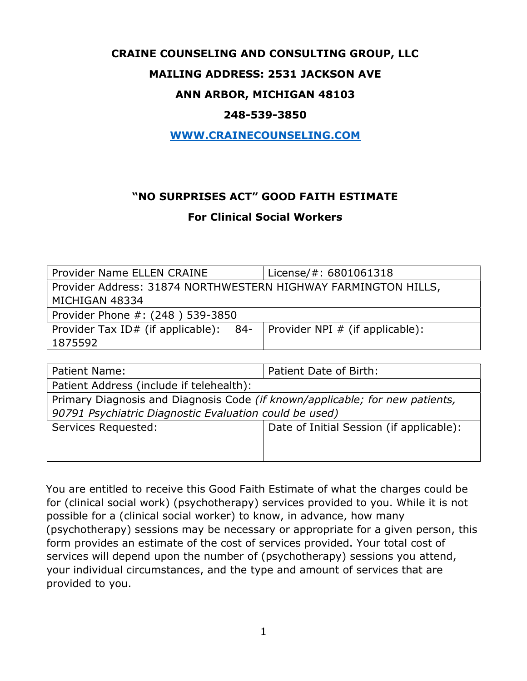## CRAINE COUNSELING AND CONSULTING GROUP, LLC

## MAILING ADDRESS: 2531 JACKSON AVE

## ANN ARBOR, MICHIGAN 48103

#### 248-539-3850

#### WWW.CRAINECOUNSELING.COM

# "NO SURPRISES ACT" GOOD FAITH ESTIMATE

## For Clinical Social Workers

| Provider Name ELLEN CRAINE                                     | License/#: 6801061318                   |  |  |
|----------------------------------------------------------------|-----------------------------------------|--|--|
|                                                                |                                         |  |  |
| Provider Address: 31874 NORTHWESTERN HIGHWAY FARMINGTON HILLS, |                                         |  |  |
| MICHIGAN 48334                                                 |                                         |  |  |
| Provider Phone #: (248) 539-3850                               |                                         |  |  |
| Provider Tax ID# (if applicable): 84-                          | $\vert$ Provider NPI # (if applicable): |  |  |
| 1875592                                                        |                                         |  |  |

| Patient Name:                                                                       | Patient Date of Birth:                   |  |
|-------------------------------------------------------------------------------------|------------------------------------------|--|
| Patient Address (include if telehealth):                                            |                                          |  |
| Primary Diagnosis and Diagnosis Code <i>(if known/applicable; for new patients,</i> |                                          |  |
| 90791 Psychiatric Diagnostic Evaluation could be used)                              |                                          |  |
| Services Requested:                                                                 | Date of Initial Session (if applicable): |  |
|                                                                                     |                                          |  |
|                                                                                     |                                          |  |

You are entitled to receive this Good Faith Estimate of what the charges could be for (clinical social work) (psychotherapy) services provided to you. While it is not possible for a (clinical social worker) to know, in advance, how many (psychotherapy) sessions may be necessary or appropriate for a given person, this form provides an estimate of the cost of services provided. Your total cost of services will depend upon the number of (psychotherapy) sessions you attend, your individual circumstances, and the type and amount of services that are provided to you.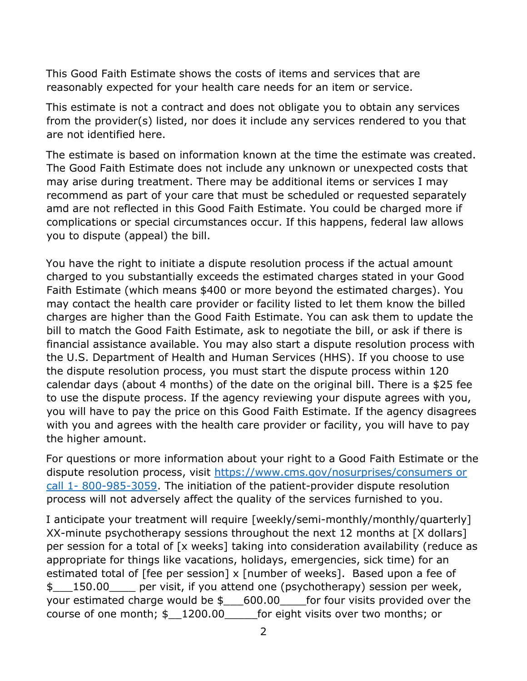This Good Faith Estimate shows the costs of items and services that are reasonably expected for your health care needs for an item or service.

This estimate is not a contract and does not obligate you to obtain any services from the provider(s) listed, nor does it include any services rendered to you that are not identified here.

The estimate is based on information known at the time the estimate was created. The Good Faith Estimate does not include any unknown or unexpected costs that may arise during treatment. There may be additional items or services I may recommend as part of your care that must be scheduled or requested separately amd are not reflected in this Good Faith Estimate. You could be charged more if complications or special circumstances occur. If this happens, federal law allows you to dispute (appeal) the bill.

You have the right to initiate a dispute resolution process if the actual amount charged to you substantially exceeds the estimated charges stated in your Good Faith Estimate (which means \$400 or more beyond the estimated charges). You may contact the health care provider or facility listed to let them know the billed charges are higher than the Good Faith Estimate. You can ask them to update the bill to match the Good Faith Estimate, ask to negotiate the bill, or ask if there is financial assistance available. You may also start a dispute resolution process with the U.S. Department of Health and Human Services (HHS). If you choose to use the dispute resolution process, you must start the dispute process within 120 calendar days (about 4 months) of the date on the original bill. There is a \$25 fee to use the dispute process. If the agency reviewing your dispute agrees with you, you will have to pay the price on this Good Faith Estimate. If the agency disagrees with you and agrees with the health care provider or facility, you will have to pay the higher amount.

For questions or more information about your right to a Good Faith Estimate or the dispute resolution process, visit https://www.cms.gov/nosurprises/consumers or call 1- 800-985-3059. The initiation of the patient-provider dispute resolution process will not adversely affect the quality of the services furnished to you.

I anticipate your treatment will require [weekly/semi-monthly/monthly/quarterly] XX-minute psychotherapy sessions throughout the next 12 months at [X dollars] per session for a total of [x weeks] taking into consideration availability (reduce as appropriate for things like vacations, holidays, emergencies, sick time) for an estimated total of [fee per session] x [number of weeks]. Based upon a fee of \$\_\_\_150.00\_\_\_\_ per visit, if you attend one (psychotherapy) session per week, your estimated charge would be  $$600.00$  for four visits provided over the course of one month; \$\_\_1200.00\_\_\_\_\_for eight visits over two months; or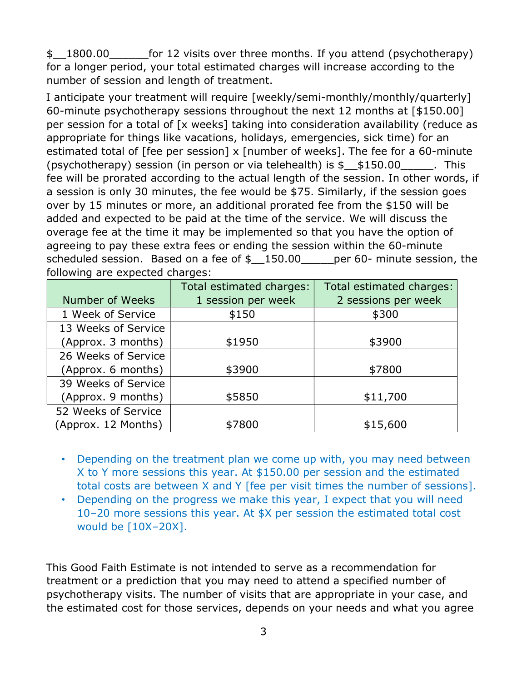\$\_\_1800.00\_\_\_\_\_\_for 12 visits over three months. If you attend (psychotherapy) for a longer period, your total estimated charges will increase according to the number of session and length of treatment.

I anticipate your treatment will require [weekly/semi-monthly/monthly/quarterly] 60-minute psychotherapy sessions throughout the next 12 months at [\$150.00] per session for a total of [x weeks] taking into consideration availability (reduce as appropriate for things like vacations, holidays, emergencies, sick time) for an estimated total of [fee per session] x [number of weeks]. The fee for a 60-minute (psychotherapy) session (in person or via telehealth) is  $$150.00$  This fee will be prorated according to the actual length of the session. In other words, if a session is only 30 minutes, the fee would be \$75. Similarly, if the session goes over by 15 minutes or more, an additional prorated fee from the \$150 will be added and expected to be paid at the time of the service. We will discuss the overage fee at the time it may be implemented so that you have the option of agreeing to pay these extra fees or ending the session within the 60-minute scheduled session. Based on a fee of  $\frac{150.00}{2}$  per 60- minute session, the following are expected charges:

|                     | Total estimated charges: | Total estimated charges: |
|---------------------|--------------------------|--------------------------|
| Number of Weeks     | 1 session per week       | 2 sessions per week      |
| 1 Week of Service   | \$150                    | \$300                    |
| 13 Weeks of Service |                          |                          |
| (Approx. 3 months)  | \$1950                   | \$3900                   |
| 26 Weeks of Service |                          |                          |
| (Approx. 6 months)  | \$3900                   | \$7800                   |
| 39 Weeks of Service |                          |                          |
| (Approx. 9 months)  | \$5850                   | \$11,700                 |
| 52 Weeks of Service |                          |                          |
| (Approx. 12 Months) | \$7800                   | \$15,600                 |

- Depending on the treatment plan we come up with, you may need between X to Y more sessions this year. At \$150.00 per session and the estimated total costs are between X and Y [fee per visit times the number of sessions].
- Depending on the progress we make this year, I expect that you will need 10–20 more sessions this year. At \$X per session the estimated total cost would be [10X–20X].

This Good Faith Estimate is not intended to serve as a recommendation for treatment or a prediction that you may need to attend a specified number of psychotherapy visits. The number of visits that are appropriate in your case, and the estimated cost for those services, depends on your needs and what you agree